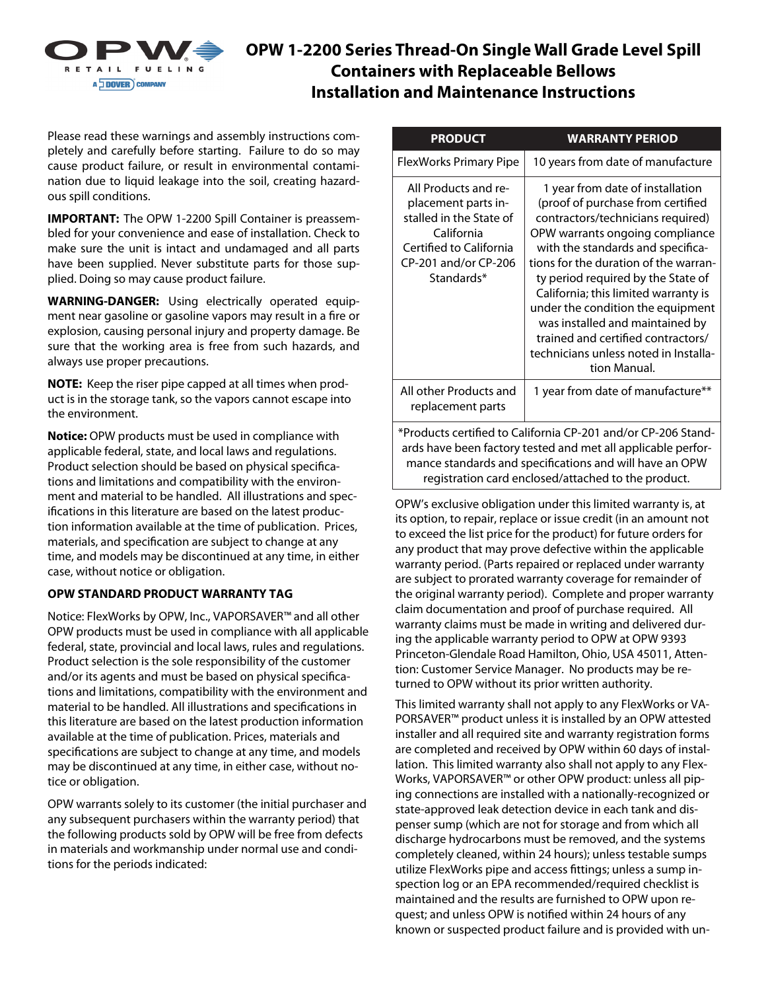

# **OPW 1-2200 Series Thread-On Single Wall Grade Level Spill Containers with Replaceable Bellows Installation and Maintenance Instructions**

Please read these warnings and assembly instructions completely and carefully before starting. Failure to do so may cause product failure, or result in environmental contamination due to liquid leakage into the soil, creating hazardous spill conditions.

**IMPORTANT:** The OPW 1-2200 Spill Container is preassembled for your convenience and ease of installation. Check to make sure the unit is intact and undamaged and all parts have been supplied. Never substitute parts for those supplied. Doing so may cause product failure.

**WARNING-DANGER:** Using electrically operated equipment near gasoline or gasoline vapors may result in a fire or explosion, causing personal injury and property damage. Be sure that the working area is free from such hazards, and always use proper precautions.

**NOTE:** Keep the riser pipe capped at all times when product is in the storage tank, so the vapors cannot escape into the environment.

**Notice:** OPW products must be used in compliance with applicable federal, state, and local laws and regulations. Product selection should be based on physical specifications and limitations and compatibility with the environment and material to be handled. All illustrations and specifications in this literature are based on the latest production information available at the time of publication. Prices, materials, and specification are subject to change at any time, and models may be discontinued at any time, in either case, without notice or obligation.

#### **OPW STANDARD PRODUCT WARRANTY TAG**

Notice: FlexWorks by OPW, Inc., VAPORSAVER™ and all other OPW products must be used in compliance with all applicable federal, state, provincial and local laws, rules and regulations. Product selection is the sole responsibility of the customer and/or its agents and must be based on physical specifications and limitations, compatibility with the environment and material to be handled. All illustrations and specifications in this literature are based on the latest production information available at the time of publication. Prices, materials and specifications are subject to change at any time, and models may be discontinued at any time, in either case, without notice or obligation.

OPW warrants solely to its customer (the initial purchaser and any subsequent purchasers within the warranty period) that the following products sold by OPW will be free from defects in materials and workmanship under normal use and conditions for the periods indicated:

| <b>PRODUCT</b>                                                                                                                                                                                                                                  | <b>WARRANTY PERIOD</b>                                                                                                                                                                                                                                                                                                                                                                                                                                                           |
|-------------------------------------------------------------------------------------------------------------------------------------------------------------------------------------------------------------------------------------------------|----------------------------------------------------------------------------------------------------------------------------------------------------------------------------------------------------------------------------------------------------------------------------------------------------------------------------------------------------------------------------------------------------------------------------------------------------------------------------------|
| <b>FlexWorks Primary Pipe</b>                                                                                                                                                                                                                   | 10 years from date of manufacture                                                                                                                                                                                                                                                                                                                                                                                                                                                |
| All Products and re-<br>placement parts in-<br>stalled in the State of<br>California<br>Certified to California<br>CP-201 and/or CP-206<br>Standards*                                                                                           | 1 year from date of installation<br>(proof of purchase from certified<br>contractors/technicians required)<br>OPW warrants ongoing compliance<br>with the standards and specifica-<br>tions for the duration of the warran-<br>ty period required by the State of<br>California; this limited warranty is<br>under the condition the equipment<br>was installed and maintained by<br>trained and certified contractors/<br>technicians unless noted in Installa-<br>tion Manual. |
| All other Products and<br>replacement parts                                                                                                                                                                                                     | 1 year from date of manufacture**                                                                                                                                                                                                                                                                                                                                                                                                                                                |
| *Products certified to California CP-201 and/or CP-206 Stand-<br>ards have been factory tested and met all applicable perfor-<br>mance standards and specifications and will have an OPW<br>registration card enclosed/attached to the product. |                                                                                                                                                                                                                                                                                                                                                                                                                                                                                  |

OPW's exclusive obligation under this limited warranty is, at its option, to repair, replace or issue credit (in an amount not to exceed the list price for the product) for future orders for any product that may prove defective within the applicable warranty period. (Parts repaired or replaced under warranty are subject to prorated warranty coverage for remainder of the original warranty period). Complete and proper warranty claim documentation and proof of purchase required. All warranty claims must be made in writing and delivered during the applicable warranty period to OPW at OPW 9393 Princeton-Glendale Road Hamilton, Ohio, USA 45011, Attention: Customer Service Manager. No products may be returned to OPW without its prior written authority.

This limited warranty shall not apply to any FlexWorks or VA-PORSAVER™ product unless it is installed by an OPW attested installer and all required site and warranty registration forms are completed and received by OPW within 60 days of installation. This limited warranty also shall not apply to any Flex-Works, VAPORSAVER™ or other OPW product: unless all piping connections are installed with a nationally-recognized or state-approved leak detection device in each tank and dispenser sump (which are not for storage and from which all discharge hydrocarbons must be removed, and the systems completely cleaned, within 24 hours); unless testable sumps utilize FlexWorks pipe and access fittings; unless a sump inspection log or an EPA recommended/required checklist is maintained and the results are furnished to OPW upon request; and unless OPW is notified within 24 hours of any known or suspected product failure and is provided with un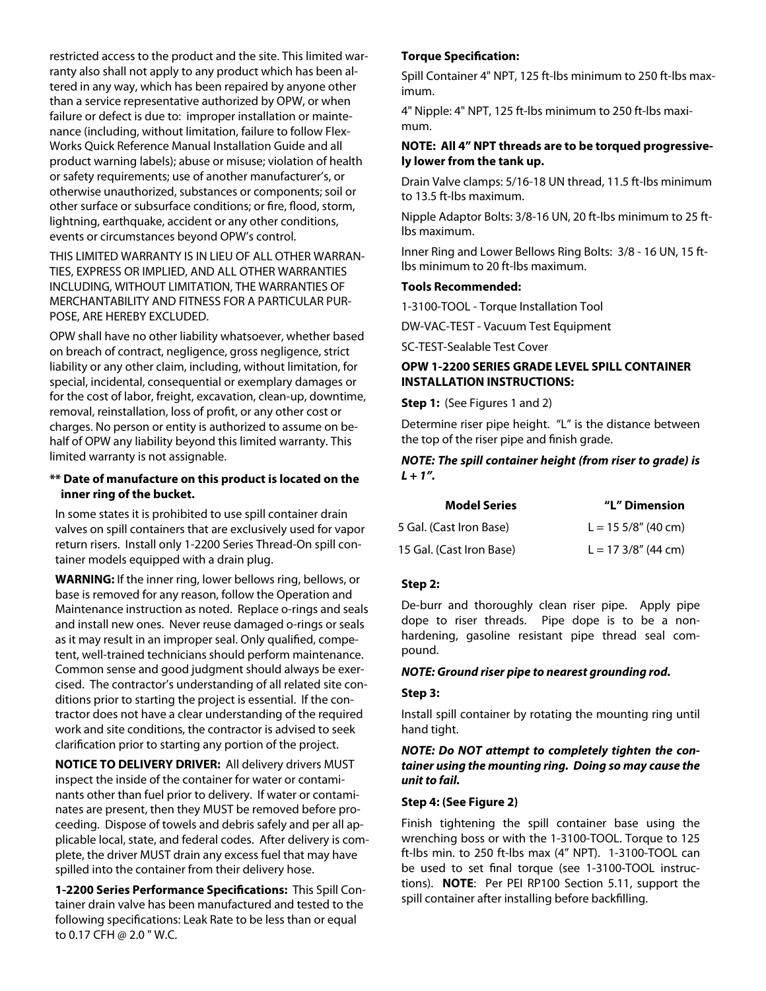restricted access to the product and the site. This limited warranty also shall not apply to any product which has been altered in any way, which has been repaired by anyone other than a service representative authorized by OPW, or when failure or defect is due to: improper installation or maintenance (including, without limitation, failure to follow Flex-Works Quick Reference Manual Installation Guide and all product warning labels); abuse or misuse; violation of health or safety requirements; use of another manufacturer's, or otherwise unauthorized, substances or components; soil or other surface or subsurface conditions; or fire, flood, storm, lightning, earthquake, accident or any other conditions, events or circumstances beyond OPW's control.

## THIS LIMITED WARRANTY IS IN LIEU OF ALL OTHER WARRAN-TIES, EXPRESS OR IMPLIED, AND ALL OTHER WARRANTIES INCLUDING, WITHOUT LIMITATION, THE WARRANTIES OF MERCHANTABILITY AND FITNESS FOR A PARTICULAR PUR-POSE, ARE HEREBY EXCLUDED.

OPW shall have no other liability whatsoever, whether based on breach of contract, negligence, gross negligence, strict liability or any other claim, including, without limitation, for special, incidental, consequential or exemplary damages or for the cost of labor, freight, excavation, clean-up, downtime, removal, reinstallation, loss of profit, or any other cost or charges. No person or entity is authorized to assume on behalf of OPW any liability beyond this limited warranty. This limited warranty is not assignable.

## **\*\* Date of manufacture on this product is located on the inner ring of the bucket.**

In some states it is prohibited to use spill container drain valves on spill containers that are exclusively used for vapor return risers. Install only 1-2200 Series Thread-On spill container models equipped with a drain plug.

**WARNING:** If the inner ring, lower bellows ring, bellows, or base is removed for any reason, follow the Operation and Maintenance instruction as noted. Replace o-rings and seals and install new ones. Never reuse damaged o-rings or seals as it may result in an improper seal. Only qualified, competent, well-trained technicians should perform maintenance. Common sense and good judgment should always be exercised. The contractor's understanding of all related site conditions prior to starting the project is essential. If the contractor does not have a clear understanding of the required work and site conditions, the contractor is advised to seek clarification prior to starting any portion of the project.

**NOTICE TO DELIVERY DRIVER:** All delivery drivers MUST inspect the inside of the container for water or contaminants other than fuel prior to delivery. If water or contaminates are present, then they MUST be removed before proceeding. Dispose of towels and debris safely and per all applicable local, state, and federal codes. After delivery is complete, the driver MUST drain any excess fuel that may have spilled into the container from their delivery hose.

**1-2200 Series Performance Specifications:** This Spill Container drain valve has been manufactured and tested to the following specifications: Leak Rate to be less than or equal to 0.17 CFH @ 2.0 " W.C.

# **Torque Specification:**

Spill Container 4" NPT, 125 ft-lbs minimum to 250 ft-lbs maximum.

4" Nipple: 4" NPT, 125 ft-lbs minimum to 250 ft-lbs maximum.

#### **NOTE: All 4" NPT threads are to be torqued progressively lower from the tank up.**

Drain Valve clamps: 5/16-18 UN thread, 11.5 ft-lbs minimum to 13.5 ft-lbs maximum.

Nipple Adaptor Bolts: 3/8-16 UN, 20 ft-lbs minimum to 25 ftlbs maximum.

Inner Ring and Lower Bellows Ring Bolts: 3/8 - 16 UN, 15 ftlbs minimum to 20 ft-lbs maximum.

#### **Tools Recommended:**

1-3100-TOOL - Torque Installation Tool

DW-VAC-TEST - Vacuum Test Equipment

SC-TEST-Sealable Test Cover

### **OPW 1-2200 SERIES GRADE LEVEL SPILL CONTAINER INSTALLATION INSTRUCTIONS:**

**Step 1:** (See Figures 1 and 2)

Determine riser pipe height. "L" is the distance between the top of the riser pipe and finish grade.

### **NOTE: The spill container height (from riser to grade) is**   $L + 1$ ".

| <b>Model Series</b>      | "L" Dimension         |
|--------------------------|-----------------------|
| 5 Gal. (Cast Iron Base)  | $L = 155/8$ " (40 cm) |
| 15 Gal. (Cast Iron Base) | $L = 173/8''$ (44 cm) |

#### **Step 2:**

De-burr and thoroughly clean riser pipe. Apply pipe dope to riser threads. Pipe dope is to be a nonhardening, gasoline resistant pipe thread seal compound.

#### **NOTE: Ground riser pipe to nearest grounding rod.**

#### **Step 3:**

Install spill container by rotating the mounting ring until hand tight.

#### **NOTE: Do NOT attempt to completely tighten the container using the mounting ring. Doing so may cause the unit to fail.**

#### **Step 4: (See Figure 2)**

Finish tightening the spill container base using the wrenching boss or with the 1-3100-TOOL. Torque to 125 ft-lbs min. to 250 ft-lbs max (4" NPT). 1-3100-TOOL can be used to set final torque (see 1-3100-TOOL instructions). **NOTE**: Per PEI RP100 Section 5.11, support the spill container after installing before backfilling.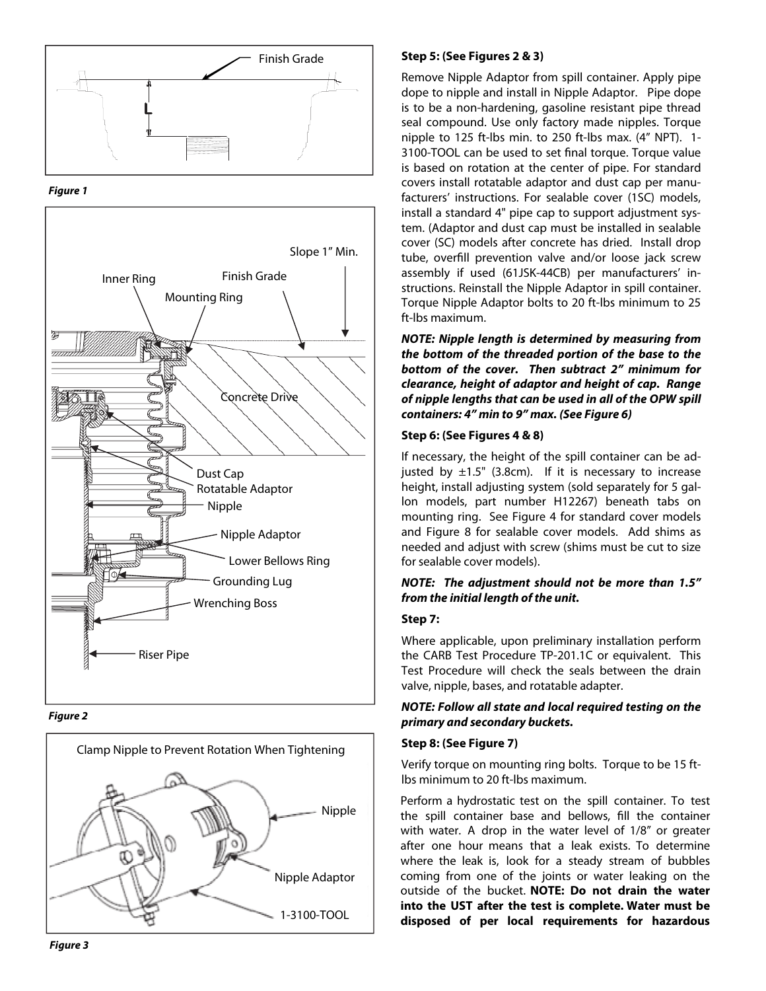





**Figure 2** 



# **Step 5: (See Figures 2 & 3)**

Remove Nipple Adaptor from spill container. Apply pipe dope to nipple and install in Nipple Adaptor. Pipe dope is to be a non-hardening, gasoline resistant pipe thread seal compound. Use only factory made nipples. Torque nipple to 125 ft-lbs min. to 250 ft-lbs max. (4" NPT). 1- 3100-TOOL can be used to set final torque. Torque value is based on rotation at the center of pipe. For standard covers install rotatable adaptor and dust cap per manufacturers' instructions. For sealable cover (1SC) models, install a standard 4" pipe cap to support adjustment system. (Adaptor and dust cap must be installed in sealable cover (SC) models after concrete has dried. Install drop tube, overfill prevention valve and/or loose jack screw assembly if used (61JSK-44CB) per manufacturers' instructions. Reinstall the Nipple Adaptor in spill container. Torque Nipple Adaptor bolts to 20 ft-lbs minimum to 25 ft-lbs maximum.

**NOTE: Nipple length is determined by measuring from the bottom of the threaded portion of the base to the bottom of the cover. Then subtract 2" minimum for clearance, height of adaptor and height of cap. Range of nipple lengths that can be used in all of the OPW spill containers: 4" min to 9" max. (See Figure 6)** 

#### **Step 6: (See Figures 4 & 8)**

If necessary, the height of the spill container can be adjusted by  $\pm 1.5$ " (3.8cm). If it is necessary to increase height, install adjusting system (sold separately for 5 gallon models, part number H12267) beneath tabs on mounting ring. See Figure 4 for standard cover models and Figure 8 for sealable cover models. Add shims as needed and adjust with screw (shims must be cut to size for sealable cover models).

## **NOTE: The adjustment should not be more than 1.5" from the initial length of the unit.**

#### **Step 7:**

Where applicable, upon preliminary installation perform the CARB Test Procedure TP-201.1C or equivalent. This Test Procedure will check the seals between the drain valve, nipple, bases, and rotatable adapter.

## **NOTE: Follow all state and local required testing on the primary and secondary buckets.**

#### **Step 8: (See Figure 7)**

Verify torque on mounting ring bolts. Torque to be 15 ftlbs minimum to 20 ft-lbs maximum.

Perform a hydrostatic test on the spill container. To test the spill container base and bellows, fill the container with water. A drop in the water level of 1/8" or greater after one hour means that a leak exists. To determine where the leak is, look for a steady stream of bubbles coming from one of the joints or water leaking on the outside of the bucket. **NOTE: Do not drain the water into the UST after the test is complete. Water must be disposed of per local requirements for hazardous**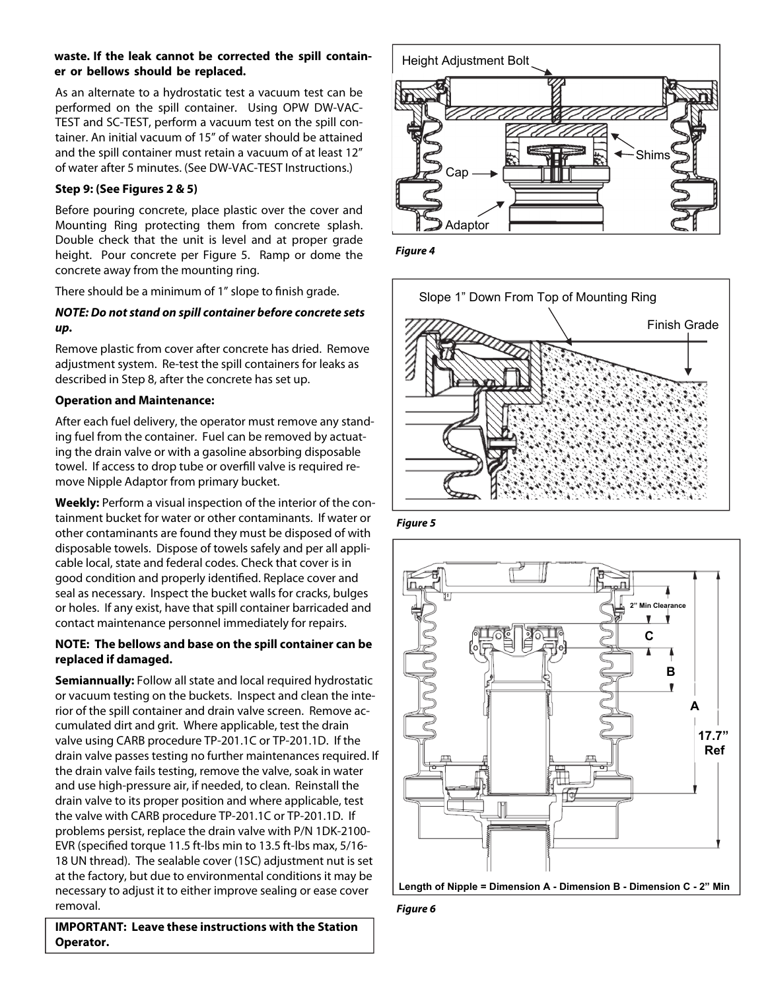## **waste. If the leak cannot be corrected the spill container or bellows should be replaced.**

As an alternate to a hydrostatic test a vacuum test can be performed on the spill container. Using OPW DW-VAC-TEST and SC-TEST, perform a vacuum test on the spill container. An initial vacuum of 15" of water should be attained and the spill container must retain a vacuum of at least 12" of water after 5 minutes. (See DW-VAC-TEST Instructions.)

# **Step 9: (See Figures 2 & 5)**

Before pouring concrete, place plastic over the cover and Mounting Ring protecting them from concrete splash. Double check that the unit is level and at proper grade height. Pour concrete per Figure 5. Ramp or dome the concrete away from the mounting ring.

There should be a minimum of 1" slope to finish grade.

# **NOTE: Do not stand on spill container before concrete sets up.**

Remove plastic from cover after concrete has dried. Remove adjustment system. Re-test the spill containers for leaks as described in Step 8, after the concrete has set up.

# **Operation and Maintenance:**

After each fuel delivery, the operator must remove any standing fuel from the container. Fuel can be removed by actuating the drain valve or with a gasoline absorbing disposable towel. If access to drop tube or overfill valve is required remove Nipple Adaptor from primary bucket.

**Weekly:** Perform a visual inspection of the interior of the containment bucket for water or other contaminants. If water or other contaminants are found they must be disposed of with disposable towels. Dispose of towels safely and per all applicable local, state and federal codes. Check that cover is in good condition and properly identified. Replace cover and seal as necessary. Inspect the bucket walls for cracks, bulges or holes. If any exist, have that spill container barricaded and contact maintenance personnel immediately for repairs.

# **NOTE: The bellows and base on the spill container can be replaced if damaged.**

**Semiannually:** Follow all state and local required hydrostatic or vacuum testing on the buckets. Inspect and clean the interior of the spill container and drain valve screen. Remove accumulated dirt and grit. Where applicable, test the drain valve using CARB procedure TP-201.1C or TP-201.1D. If the drain valve passes testing no further maintenances required. If the drain valve fails testing, remove the valve, soak in water and use high-pressure air, if needed, to clean. Reinstall the drain valve to its proper position and where applicable, test the valve with CARB procedure TP-201.1C or TP-201.1D. If problems persist, replace the drain valve with P/N 1DK-2100- EVR (specified torque 11.5 ft-lbs min to 13.5 ft-lbs max, 5/16- 18 UN thread). The sealable cover (1SC) adjustment nut is set at the factory, but due to environmental conditions it may be necessary to adjust it to either improve sealing or ease cover removal.

**IMPORTANT: Leave these instructions with the Station Operator.** 



**Figure 4** 



**Figure 5**